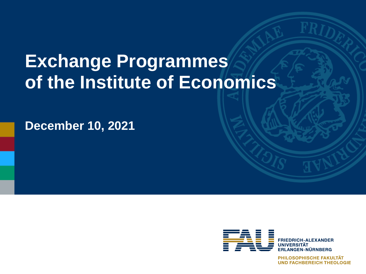# **Exchange Programmes of the Institute of Economics**

**December 10, 2021**



PHILOSOPHISCHE FAKULTÄT **UND FACHBEREICH THEOLOGIE**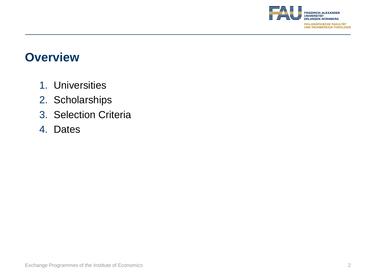

#### **Overview**

- 1. Universities
- 2. Scholarships
- 3. Selection Criteria
- 4. Dates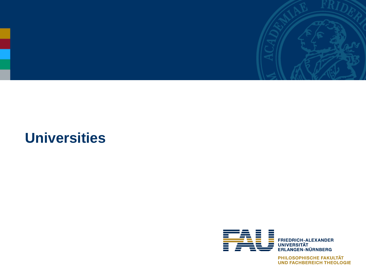

# **Universities**



**PHILOSOPHISCHE FAKULTÄT<br>UND FACHBEREICH THEOLOGIE**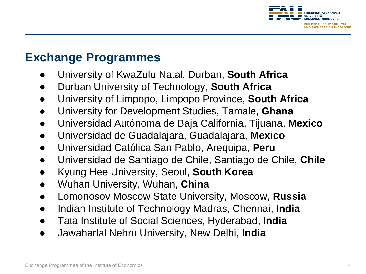

## **Exchange Programmes**

- University of KwaZulu Natal, Durban, **South Africa**
- Durban University of Technology, **South Africa**
- University of Limpopo, Limpopo Province, **South Africa**
- University for Development Studies, Tamale, **Ghana**
- Universidad Autónoma de Baja California, Tijuana, **Mexico**
- Universidad de Guadalajara, Guadalajara, **Mexico**
- Universidad Católica San Pablo, Arequipa, **Peru**
- Universidad de Santiago de Chile, Santiago de Chile, **Chile**
- Kyung Hee University, Seoul, **South Korea**
- Wuhan University, Wuhan, **China**
- Lomonosov Moscow State University, Moscow, **Russia**
- Indian Institute of Technology Madras, Chennai, **India**
- Tata Institute of Social Sciences, Hyderabad, **India**
- Jawaharlal Nehru University, New Delhi, **India**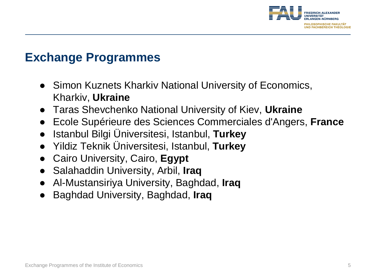

### **Exchange Programmes**

- Simon Kuznets Kharkiv National University of Economics, Kharkiv, **Ukraine**
- Taras Shevchenko National University of Kiev, **Ukraine**
- Ecole Supérieure des Sciences Commerciales d'Angers, **France**
- Istanbul Bilgi Üniversitesi, Istanbul, **Turkey**
- Yildiz Teknik Üniversitesi, Istanbul, **Turkey**
- Cairo University, Cairo, **Egypt**
- Salahaddin University, Arbil, **Iraq**
- Al-Mustansiriya University, Baghdad, **Iraq**
- Baghdad University, Baghdad, **Iraq**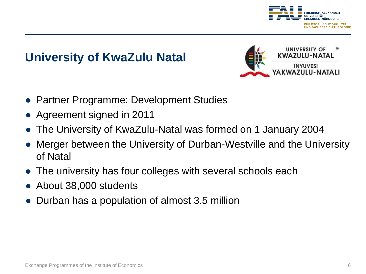

## **University of KwaZulu Natal**



- Partner Programme: Development Studies
- Agreement signed in 2011
- The University of KwaZulu-Natal was formed on 1 January 2004
- Merger between the University of Durban-Westville and the University of Natal
- The university has four colleges with several schools each
- About 38,000 students
- Durban has a population of almost 3.5 million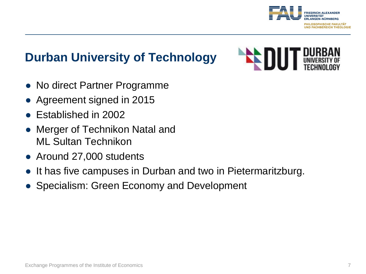

## **Durban University of Technology**

- No direct Partner Programme
- Agreement signed in 2015
- Established in 2002
- Merger of Technikon Natal and ML Sultan Technikon
- Around 27,000 students
- It has five campuses in Durban and two in Pietermaritzburg.
- Specialism: Green Economy and Development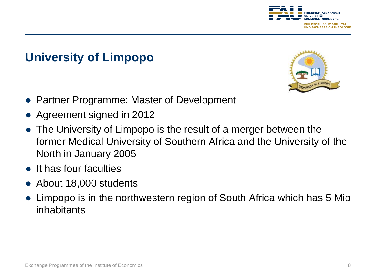

## **University of Limpopo**



- Partner Programme: Master of Development
- Agreement signed in 2012
- The University of Limpopo is the result of a merger between the former Medical University of Southern Africa and the University of the North in January 2005
- It has four faculties
- About 18,000 students
- Limpopo is in the northwestern region of South Africa which has 5 Mio inhabitants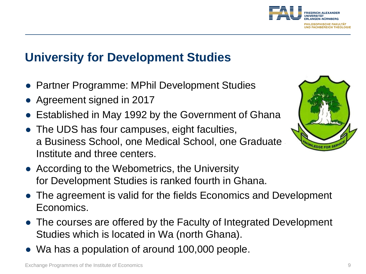

#### **University for Development Studies**

- Partner Programme: MPhil Development Studies
- Agreement signed in 2017
- Established in May 1992 by the Government of Ghana
- The UDS has four campuses, eight faculties, a Business School, one Medical School, one Graduate Institute and three centers.
- According to the Webometrics, the University for Development Studies is ranked fourth in Ghana.
- The agreement is valid for the fields Economics and Development Economics.
- The courses are offered by the Faculty of Integrated Development Studies which is located in Wa (north Ghana).
- Wa has a population of around 100,000 people.

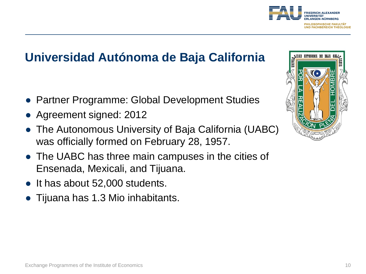

## **Universidad Autónoma de Baja California**

- Partner Programme: Global Development Studies
- Agreement signed: 2012
- The Autonomous University of Baja California (UABC) was officially formed on February 28, 1957.
- The UABC has three main campuses in the cities of Ensenada, Mexicali, and Tijuana.
- It has about 52,000 students.
- Tijuana has 1.3 Mio inhabitants.

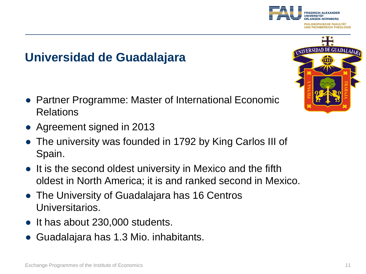### **Universidad de Guadalajara**

- Partner Programme: Master of International Economic Relations
- Agreement signed in 2013
- The university was founded in 1792 by King Carlos III of Spain.
- It is the second oldest university in Mexico and the fifth oldest in North America; it is and ranked second in Mexico.
- The University of Guadalajara has 16 Centros Universitarios.
- It has about 230,000 students.
- Guadalajara has 1.3 Mio. inhabitants.



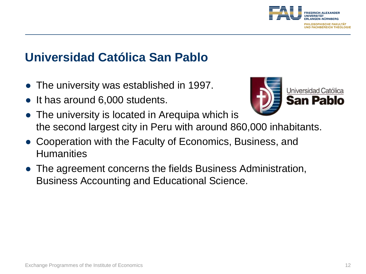

## **Universidad Católica San Pablo**

- The university was established in 1997.
- It has around 6,000 students.



- The university is located in Arequipa which is the second largest city in Peru with around 860,000 inhabitants.
- Cooperation with the Faculty of Economics, Business, and **Humanities**
- The agreement concerns the fields Business Administration, Business Accounting and Educational Science.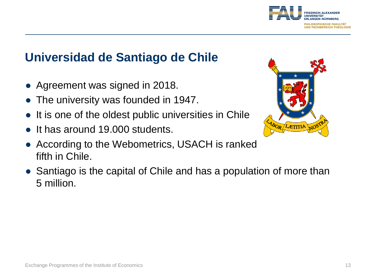

## **Universidad de Santiago de Chile**

- Agreement was signed in 2018.
- The university was founded in 1947.
- It is one of the oldest public universities in Chile
- It has around 19,000 students.
- According to the Webometrics, USACH is ranked fifth in Chile.
- Santiago is the capital of Chile and has a population of more than 5 million.

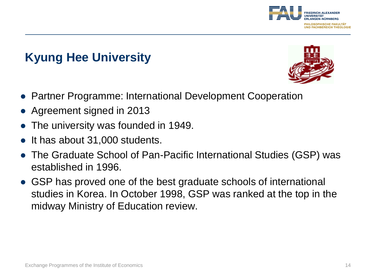

## **Kyung Hee University**



- Partner Programme: International Development Cooperation
- Agreement signed in 2013
- The university was founded in 1949.
- It has about 31,000 students.
- The Graduate School of Pan-Pacific International Studies (GSP) was established in 1996.
- GSP has proved one of the best graduate schools of international studies in Korea. In October 1998, GSP was ranked at the top in the midway Ministry of Education review.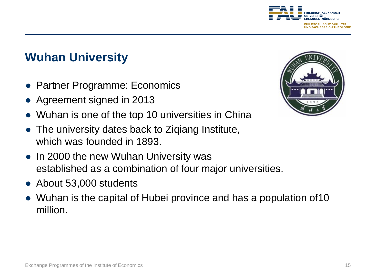

## **Wuhan University**

- Partner Programme: Economics
- Agreement signed in 2013
- Wuhan is one of the top 10 universities in China
- The university dates back to Ziqiang Institute, which was founded in 1893.
- In 2000 the new Wuhan University was established as a combination of four major universities.
- About 53,000 students
- Wuhan is the capital of Hubei province and has a population of10 million.

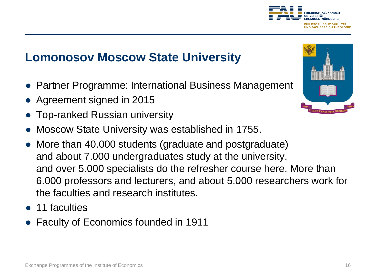## **Lomonosov Moscow State University**

- Partner Programme: International Business Management
- Agreement signed in 2015
- Top-ranked Russian university
- Moscow State University was established in 1755.
- More than 40.000 students (graduate and postgraduate) and about 7.000 undergraduates study at the university, and over 5.000 specialists do the refresher course here. More than 6.000 professors and lecturers, and about 5.000 researchers work for the faculties and research institutes.
- 11 faculties
- Faculty of Economics founded in 1911



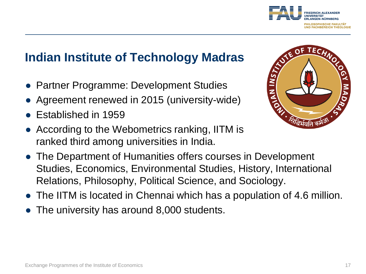## **Indian Institute of Technology Madras**

- Partner Programme: Development Studies
- Agreement renewed in 2015 (university-wide)
- Established in 1959
- According to the Webometrics ranking, IITM is ranked third among universities in India.
- The Department of Humanities offers courses in Development Studies, Economics, Environmental Studies, History, International Relations, Philosophy, Political Science, and Sociology.
- The IITM is located in Chennai which has a population of 4.6 million.
- The university has around 8,000 students.



**FRIEDRICH-ALEXANDER** 

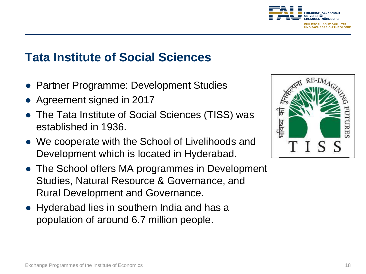

#### **Tata Institute of Social Sciences**

- Partner Programme: Development Studies
- Agreement signed in 2017
- The Tata Institute of Social Sciences (TISS) was established in 1936.
- We cooperate with the School of Livelihoods and Development which is located in Hyderabad.
- The School offers MA programmes in Development Studies, Natural Resource & Governance, and Rural Development and Governance.
- Hyderabad lies in southern India and has a population of around 6.7 million people.

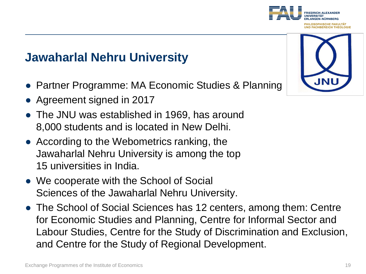## **Jawaharlal Nehru University**

- Partner Programme: MA Economic Studies & Planning
- Agreement signed in 2017
- The JNU was established in 1969, has around 8,000 students and is located in New Delhi.
- According to the Webometrics ranking, the Jawaharlal Nehru University is among the top 15 universities in India.
- We cooperate with the School of Social Sciences of the Jawaharlal Nehru University.
- The School of Social Sciences has 12 centers, among them: Centre for Economic Studies and Planning, Centre for Informal Sector and Labour Studies, Centre for the Study of Discrimination and Exclusion, and Centre for the Study of Regional Development.



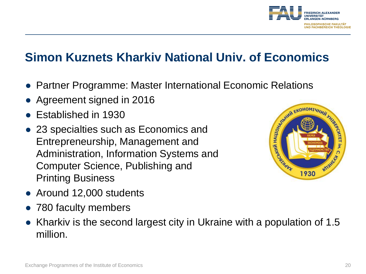

## **Simon Kuznets Kharkiv National Univ. of Economics**

- Partner Programme: Master International Economic Relations
- Agreement signed in 2016
- Established in 1930
- 23 specialties such as Economics and Entrepreneurship, Management and Administration, Information Systems and Computer Science, Publishing and Printing Business



- Around 12,000 students
- 780 faculty members
- Kharkiv is the second largest city in Ukraine with a population of 1.5 million.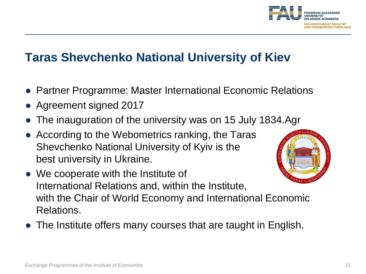

#### **Taras Shevchenko National University of Kiev**

- Partner Programme: Master International Economic Relations
- Agreement signed 2017
- The inauguration of the university was on 15 July 1834.Agr
- According to the Webometrics ranking, the Taras Shevchenko National University of Kyiv is the best university in Ukraine.



- We cooperate with the Institute of International Relations and, within the Institute, with the Chair of World Economy and International Economic Relations.
- The Institute offers many courses that are taught in English.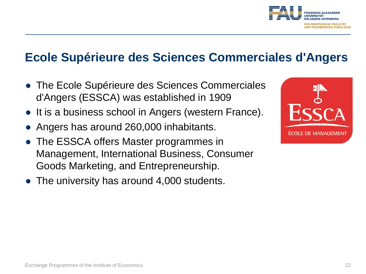

#### **Ecole Supérieure des Sciences Commerciales d'Angers**

- The Ecole Supérieure des Sciences Commerciales d'Angers (ESSCA) was established in 1909
- It is a business school in Angers (western France).
- Angers has around 260,000 inhabitants.
- The ESSCA offers Master programmes in Management, International Business, Consumer Goods Marketing, and Entrepreneurship.
- $\bullet$  The university has around 4,000 students.

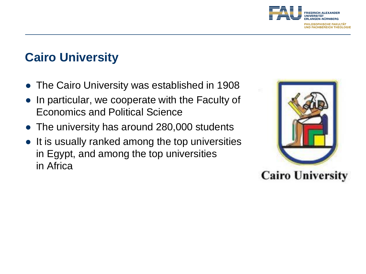

## **Cairo University**

- The Cairo University was established in 1908
- In particular, we cooperate with the Faculty of Economics and Political Science
- The university has around 280,000 students
- It is usually ranked among the top universities in Egypt, and among the top universities in Africa

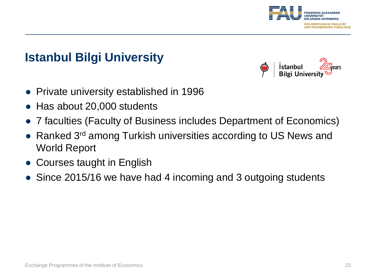

## **Istanbul Bilgi University**

Istanbul **Bilgi Unive** 

- Private university established in 1996
- Has about 20,000 students
- 7 faculties (Faculty of Business includes Department of Economics)
- Ranked 3<sup>rd</sup> among Turkish universities according to US News and World Report
- Courses taught in English
- Since 2015/16 we have had 4 incoming and 3 outgoing students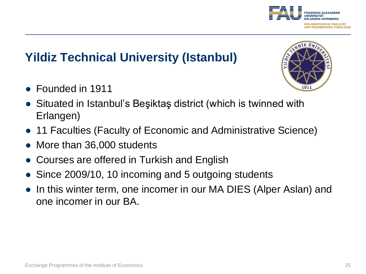## **Yildiz Technical University (Istanbul)**

- Founded in 1911
- Situated in Istanbul's Beşiktaş district (which is twinned with Erlangen)
- 11 Faculties (Faculty of Economic and Administrative Science)
- More than 36,000 students
- Courses are offered in Turkish and English
- Since 2009/10, 10 incoming and 5 outgoing students
- In this winter term, one incomer in our MA DIES (Alper Aslan) and one incomer in our BA.



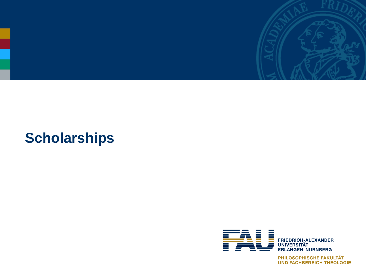

# **Scholarships**



PHILOSOPHISCHE FAKULTÄT **UND FACHBEREICH THEOLOGIE**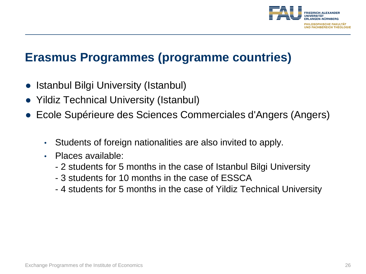

#### **Erasmus Programmes (programme countries)**

- Istanbul Bilgi University (Istanbul)
- Yildiz Technical University (Istanbul)
- Ecole Supérieure des Sciences Commerciales d'Angers (Angers)
	- Students of foreign nationalities are also invited to apply.
	- Places available:
		- 2 students for 5 months in the case of Istanbul Bilgi University
		- 3 students for 10 months in the case of ESSCA
		- 4 students for 5 months in the case of Yildiz Technical University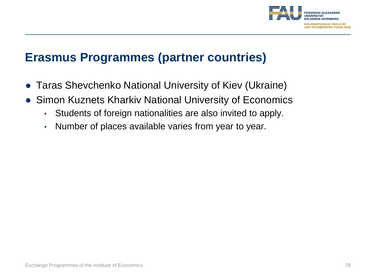

#### **Erasmus Programmes (partner countries)**

- Taras Shevchenko National University of Kiev (Ukraine)
- Simon Kuznets Kharkiv National University of Economics
	- Students of foreign nationalities are also invited to apply.
	- Number of places available varies from year to year.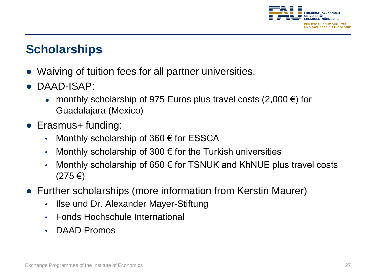

### **Scholarships**

- Waiving of tuition fees for all partner universities.
- DAAD-ISAP:
	- monthly scholarship of 975 Euros plus travel costs  $(2,000 \in \mathfrak{f})$  for Guadalajara (Mexico)
- Erasmus+ funding:
	- Monthly scholarship of 360  $\epsilon$  for ESSCA
	- Monthly scholarship of 300  $\epsilon$  for the Turkish universities
	- Monthly scholarship of 650  $\epsilon$  for TSNUK and KhNUE plus travel costs (275 €)
- Further scholarships (more information from Kerstin Maurer)
	- Ilse und Dr. Alexander Mayer-Stiftung
	- Fonds Hochschule International
	- DAAD Promos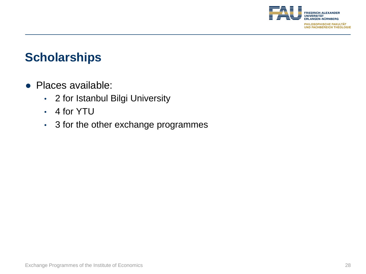

#### **Scholarships**

- Places available:
	- 2 for Istanbul Bilgi University
	- 4 for YTU
	- 3 for the other exchange programmes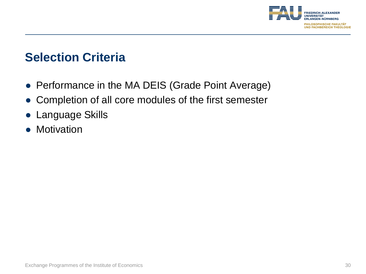

#### **Selection Criteria**

- Performance in the MA DEIS (Grade Point Average)
- Completion of all core modules of the first semester
- Language Skills
- Motivation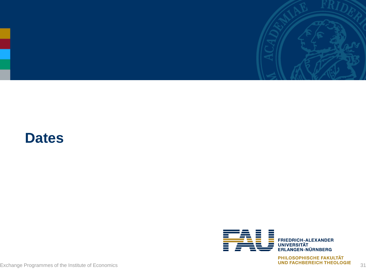

## **Dates**



Exchange Programmes of the Institute of Economics<br>Exchange Programmes of the Institute of Economics 31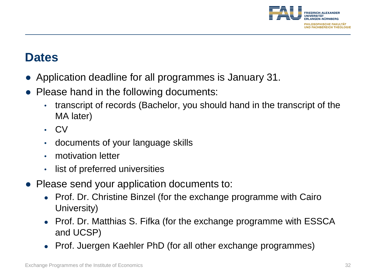

#### **Dates**

- Application deadline for all programmes is January 31.
- Please hand in the following documents:
	- transcript of records (Bachelor, you should hand in the transcript of the MA later)
	- CV
	- documents of your language skills
	- motivation letter
	- list of preferred universities
- Please send your application documents to:
	- Prof. Dr. Christine Binzel (for the exchange programme with Cairo University)
	- Prof. Dr. Matthias S. Fifka (for the exchange programme with ESSCA and UCSP)
	- Prof. Juergen Kaehler PhD (for all other exchange programmes)